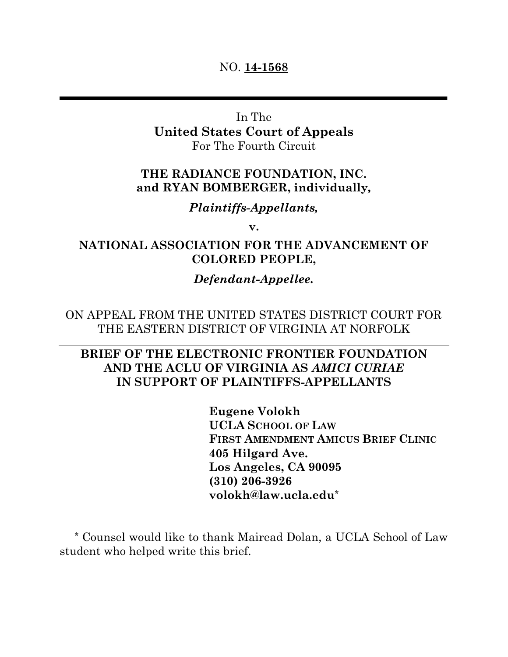### NO. **14-1568**

In The **United States Court of Appeals**  For The Fourth Circuit

## **THE RADIANCE FOUNDATION, INC. and RYAN BOMBERGER, individually***,*

## *Plaintiffs-Appellants,*

**v.**

## **NATIONAL ASSOCIATION FOR THE ADVANCEMENT OF COLORED PEOPLE,**

## *Defendant-Appellee.*

ON APPEAL FROM THE UNITED STATES DISTRICT COURT FOR THE EASTERN DISTRICT OF VIRGINIA AT NORFOLK

# **BRIEF OF THE ELECTRONIC FRONTIER FOUNDATION AND THE ACLU OF VIRGINIA AS** *AMICI CURIAE*  **IN SUPPORT OF PLAINTIFFS-APPELLANTS**

**Eugene Volokh UCLA SCHOOL OF LAW FIRST AMENDMENT AMICUS BRIEF CLINIC 405 Hilgard Ave. Los Angeles, CA 90095 (310) 206-3926 volokh@law.ucla.edu\***

**\*** Counsel would like to thank Mairead Dolan, a UCLA School of Law student who helped write this brief.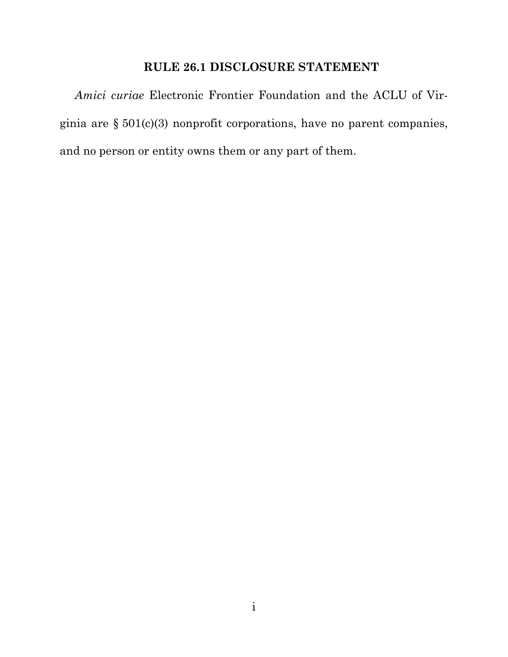## **RULE 26.1 DISCLOSURE STATEMENT**

*Amici curiae* Electronic Frontier Foundation and the ACLU of Virginia are § 501(c)(3) nonprofit corporations, have no parent companies, and no person or entity owns them or any part of them.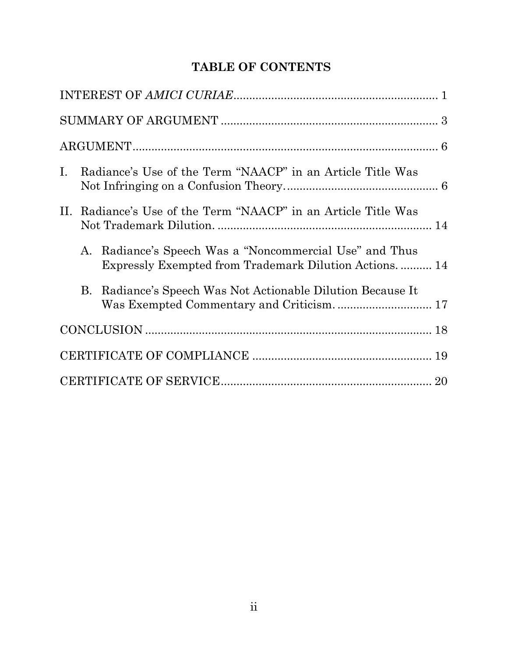# **TABLE OF CONTENTS**

| Ι.  | Radiance's Use of the Term "NAACP" in an Article Title Was |                                                                                                               |  |  |  |
|-----|------------------------------------------------------------|---------------------------------------------------------------------------------------------------------------|--|--|--|
| II. | Radiance's Use of the Term "NAACP" in an Article Title Was |                                                                                                               |  |  |  |
|     | A.                                                         | Radiance's Speech Was a "Noncommercial Use" and Thus<br>Expressly Exempted from Trademark Dilution Actions 14 |  |  |  |
|     | B.                                                         | Radiance's Speech Was Not Actionable Dilution Because It<br>Was Exempted Commentary and Criticism 17          |  |  |  |
|     |                                                            |                                                                                                               |  |  |  |
|     |                                                            |                                                                                                               |  |  |  |
|     |                                                            |                                                                                                               |  |  |  |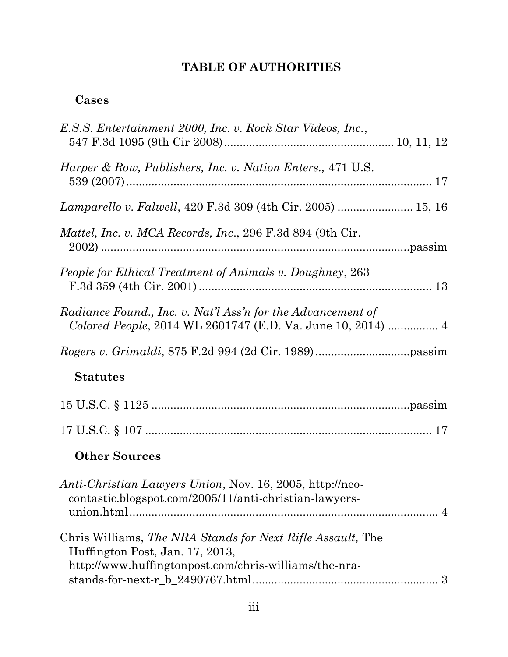# **TABLE OF AUTHORITIES**

# **Cases**

| E.S.S. Entertainment 2000, Inc. v. Rock Star Videos, Inc.,                                                                                             |  |
|--------------------------------------------------------------------------------------------------------------------------------------------------------|--|
| <i>Harper &amp; Row, Publishers, Inc. v. Nation Enters., 471 U.S.</i>                                                                                  |  |
| Lamparello v. Falwell, 420 F.3d 309 (4th Cir. 2005)  15, 16                                                                                            |  |
| Mattel, Inc. v. MCA Records, Inc., 296 F.3d 894 (9th Cir.                                                                                              |  |
| People for Ethical Treatment of Animals v. Doughney, 263                                                                                               |  |
| Radiance Found., Inc. v. Nat'l Ass'n for the Advancement of                                                                                            |  |
|                                                                                                                                                        |  |
| <b>Statutes</b>                                                                                                                                        |  |
|                                                                                                                                                        |  |
|                                                                                                                                                        |  |
|                                                                                                                                                        |  |
| <b>Other Sources</b>                                                                                                                                   |  |
| <i>Anti-Christian Lawyers Union, Nov. 16, 2005, http://neo-</i><br>contastic.blogspot.com/2005/11/anti-christian-lawyers-                              |  |
| Chris Williams, The NRA Stands for Next Rifle Assault, The<br>Huffington Post, Jan. 17, 2013,<br>http://www.huffingtonpost.com/chris-williams/the-nra- |  |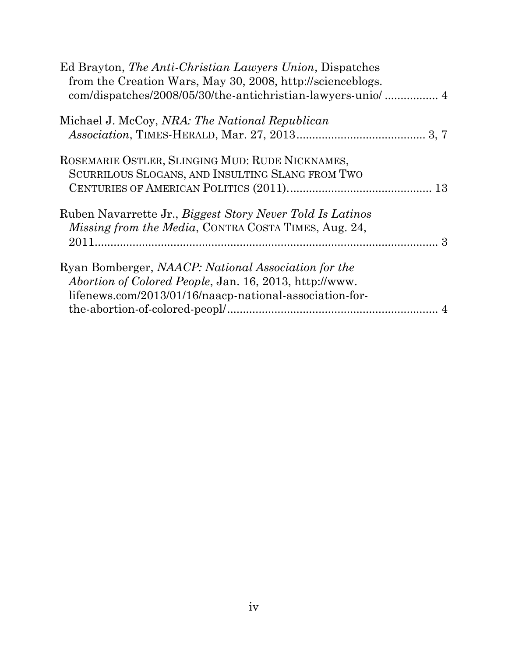| Ed Brayton, The Anti-Christian Lawyers Union, Dispatches<br>from the Creation Wars, May 30, 2008, http://scienceblogs.                                                          |  |
|---------------------------------------------------------------------------------------------------------------------------------------------------------------------------------|--|
| Michael J. McCoy, NRA: The National Republican                                                                                                                                  |  |
| ROSEMARIE OSTLER, SLINGING MUD: RUDE NICKNAMES,<br>SCURRILOUS SLOGANS, AND INSULTING SLANG FROM TWO                                                                             |  |
| Ruben Navarrette Jr., Biggest Story Never Told Is Latinos<br><i>Missing from the Media, CONTRA COSTA TIMES, Aug. 24,</i>                                                        |  |
| Ryan Bomberger, NAACP: National Association for the<br><i>Abortion of Colored People, Jan. 16, 2013, http://www.</i><br>lifenews.com/2013/01/16/naacp-national-association-for- |  |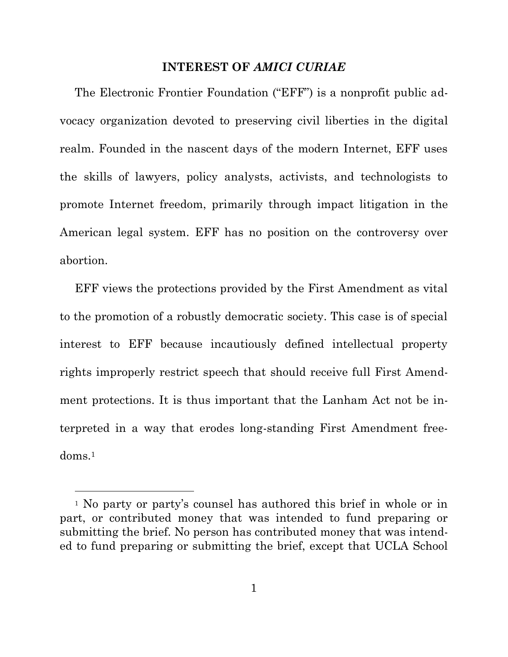#### **INTEREST OF** *AMICI CURIAE*

<span id="page-5-0"></span>The Electronic Frontier Foundation ("EFF") is a nonprofit public advocacy organization devoted to preserving civil liberties in the digital realm. Founded in the nascent days of the modern Internet, EFF uses the skills of lawyers, policy analysts, activists, and technologists to promote Internet freedom, primarily through impact litigation in the American legal system. EFF has no position on the controversy over abortion.

EFF views the protections provided by the First Amendment as vital to the promotion of a robustly democratic society. This case is of special interest to EFF because incautiously defined intellectual property rights improperly restrict speech that should receive full First Amendment protections. It is thus important that the Lanham Act not be interpreted in a way that erodes long-standing First Amendment freedoms.<sup>1</sup>

<sup>1</sup> No party or party's counsel has authored this brief in whole or in part, or contributed money that was intended to fund preparing or submitting the brief. No person has contributed money that was intended to fund preparing or submitting the brief, except that UCLA School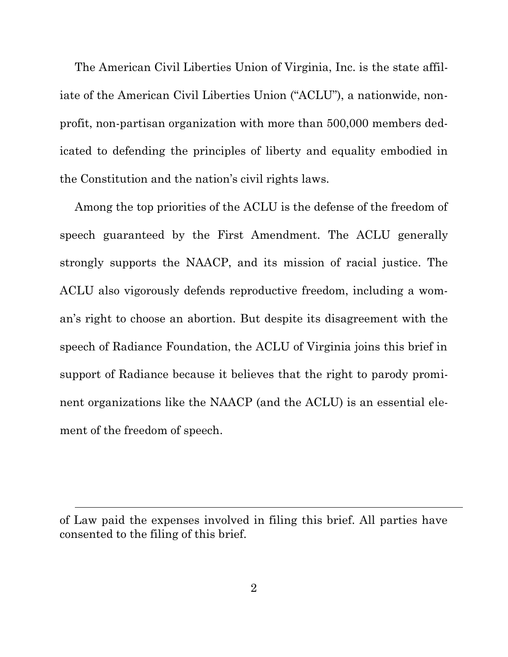The American Civil Liberties Union of Virginia, Inc. is the state affiliate of the American Civil Liberties Union ("ACLU"), a nationwide, nonprofit, non-partisan organization with more than 500,000 members dedicated to defending the principles of liberty and equality embodied in the Constitution and the nation's civil rights laws.

Among the top priorities of the ACLU is the defense of the freedom of speech guaranteed by the First Amendment. The ACLU generally strongly supports the NAACP, and its mission of racial justice. The ACLU also vigorously defends reproductive freedom, including a woman's right to choose an abortion. But despite its disagreement with the speech of Radiance Foundation, the ACLU of Virginia joins this brief in support of Radiance because it believes that the right to parody prominent organizations like the NAACP (and the ACLU) is an essential element of the freedom of speech.

 $\overline{a}$ 

of Law paid the expenses involved in filing this brief. All parties have consented to the filing of this brief.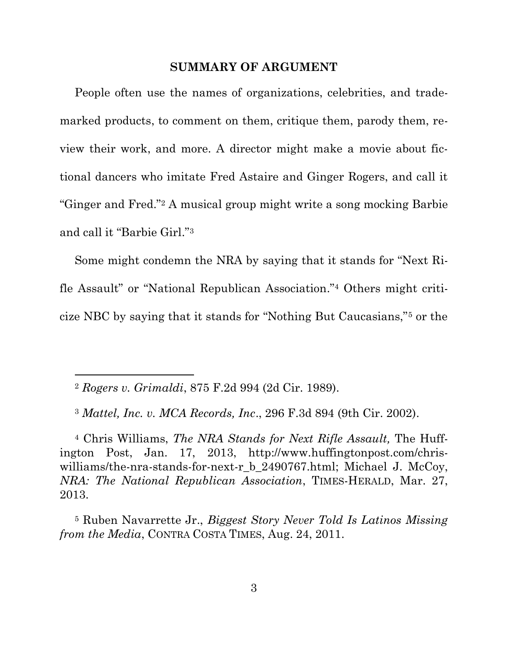#### **SUMMARY OF ARGUMENT**

<span id="page-7-0"></span>People often use the names of organizations, celebrities, and trademarked products, to comment on them, critique them, parody them, review their work, and more. A director might make a movie about fictional dancers who imitate Fred Astaire and Ginger Rogers, and call it "Ginger and Fred."<sup>2</sup> A musical group might write a song mocking Barbie and call it "Barbie Girl."<sup>3</sup>

Some might condemn the NRA by saying that it stands for "Next Rifle Assault" or "National Republican Association." <sup>4</sup> Others might criticize NBC by saying that it stands for "Nothing But Caucasians,"<sup>5</sup> or the

<sup>2</sup> *Rogers v. Grimaldi*, 875 F.2d 994 (2d Cir. 1989).

<sup>3</sup> *Mattel, Inc. v. MCA Records, Inc*., 296 F.3d 894 (9th Cir. 2002).

<sup>4</sup> Chris Williams, *The NRA Stands for Next Rifle Assault,* The Huffington Post, Jan. 17, 2013, http://www.huffingtonpost.com/chriswilliams/the-nra-stands-for-next-r\_b\_2490767.html; Michael J. McCoy, *NRA: The National Republican Association*, TIMES-HERALD, Mar. 27, 2013.

<sup>5</sup> Ruben Navarrette Jr., *Biggest Story Never Told Is Latinos Missing from the Media*, CONTRA COSTA TIMES, Aug. 24, 2011.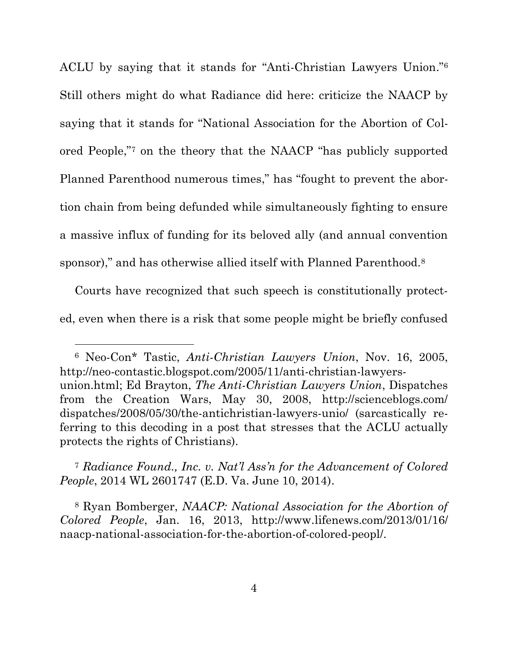ACLU by saying that it stands for "Anti-Christian Lawyers Union." 6 Still others might do what Radiance did here: criticize the NAACP by saying that it stands for "National Association for the Abortion of Colored People," <sup>7</sup> on the theory that the NAACP "has publicly supported Planned Parenthood numerous times," has "fought to prevent the abortion chain from being defunded while simultaneously fighting to ensure a massive influx of funding for its beloved ally (and annual convention sponsor)," and has otherwise allied itself with Planned Parenthood.<sup>8</sup>

Courts have recognized that such speech is constitutionally protected, even when there is a risk that some people might be briefly confused

 $\overline{a}$ 

<sup>6</sup> Neo-Con\* Tastic, *Anti-Christian Lawyers Union*, Nov. 16, 2005, http://neo-contastic.blogspot.com/2005/11/anti-christian-lawyersunion.html; Ed Brayton, *The Anti-Christian Lawyers Union*, Dispatches from the Creation Wars, May 30, 2008, http://scienceblogs.com/ dispatches/2008/05/30/the-antichristian-lawyers-unio/ (sarcastically referring to this decoding in a post that stresses that the ACLU actually protects the rights of Christians).

<sup>7</sup> *Radiance Found., Inc. v. Nat'l Ass'n for the Advancement of Colored People*, 2014 WL 2601747 (E.D. Va. June 10, 2014).

<sup>8</sup> Ryan Bomberger, *NAACP: National Association for the Abortion of Colored People*, Jan. 16, 2013, http://www.lifenews.com/2013/01/16/ naacp-national-association-for-the-abortion-of-colored-peopl/.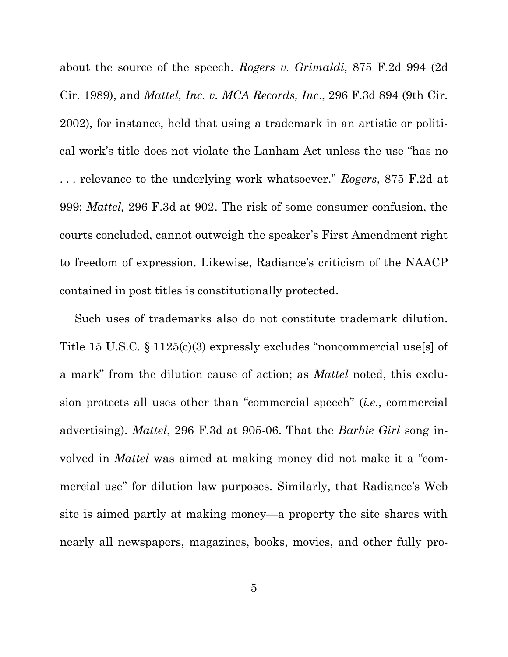about the source of the speech. *Rogers v. Grimaldi*, 875 F.2d 994 (2d Cir. 1989), and *Mattel, Inc. v. MCA Records, Inc*., 296 F.3d 894 (9th Cir. 2002), for instance, held that using a trademark in an artistic or political work's title does not violate the Lanham Act unless the use "has no . . . relevance to the underlying work whatsoever." *Rogers*, 875 F.2d at 999; *Mattel,* 296 F.3d at 902. The risk of some consumer confusion, the courts concluded, cannot outweigh the speaker's First Amendment right to freedom of expression. Likewise, Radiance's criticism of the NAACP contained in post titles is constitutionally protected.

Such uses of trademarks also do not constitute trademark dilution. Title 15 U.S.C. § 1125(c)(3) expressly excludes "noncommercial use[s] of a mark" from the dilution cause of action; as *Mattel* noted, this exclusion protects all uses other than "commercial speech" (*i.e.*, commercial advertising). *Mattel*, 296 F.3d at 905-06. That the *Barbie Girl* song involved in *Mattel* was aimed at making money did not make it a "commercial use" for dilution law purposes. Similarly, that Radiance's Web site is aimed partly at making money—a property the site shares with nearly all newspapers, magazines, books, movies, and other fully pro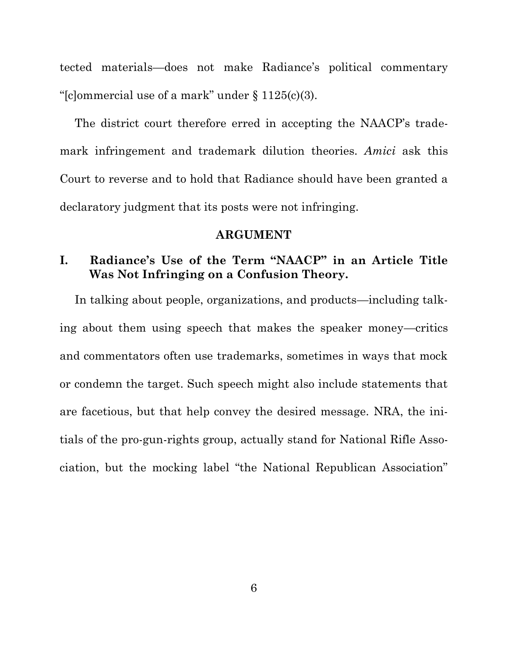tected materials—does not make Radiance's political commentary "[c]ommercial use of a mark" under  $\S 1125(c)(3)$ .

The district court therefore erred in accepting the NAACP's trademark infringement and trademark dilution theories. *Amici* ask this Court to reverse and to hold that Radiance should have been granted a declaratory judgment that its posts were not infringing.

#### **ARGUMENT**

## <span id="page-10-1"></span><span id="page-10-0"></span>**I. Radiance's Use of the Term "NAACP" in an Article Title Was Not Infringing on a Confusion Theory.**

In talking about people, organizations, and products—including talking about them using speech that makes the speaker money—critics and commentators often use trademarks, sometimes in ways that mock or condemn the target. Such speech might also include statements that are facetious, but that help convey the desired message. NRA, the initials of the pro-gun-rights group, actually stand for National Rifle Association, but the mocking label "the National Republican Association"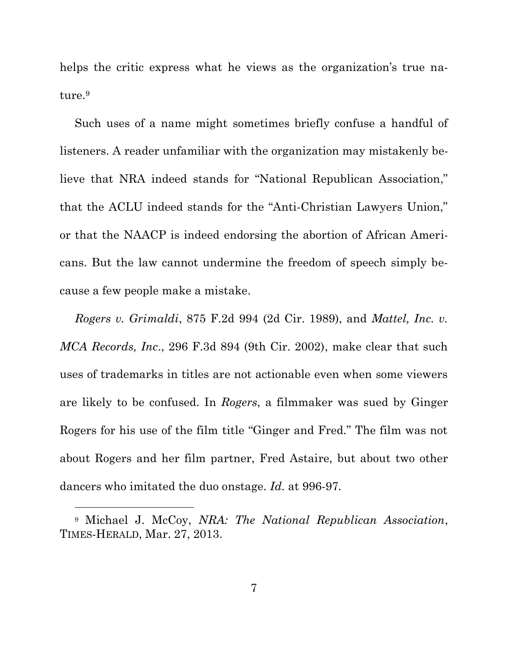helps the critic express what he views as the organization's true nature. 9

Such uses of a name might sometimes briefly confuse a handful of listeners. A reader unfamiliar with the organization may mistakenly believe that NRA indeed stands for "National Republican Association," that the ACLU indeed stands for the "Anti-Christian Lawyers Union," or that the NAACP is indeed endorsing the abortion of African Americans. But the law cannot undermine the freedom of speech simply because a few people make a mistake.

*Rogers v. Grimaldi*, 875 F.2d 994 (2d Cir. 1989), and *Mattel, Inc. v. MCA Records, Inc*., 296 F.3d 894 (9th Cir. 2002), make clear that such uses of trademarks in titles are not actionable even when some viewers are likely to be confused. In *Rogers*, a filmmaker was sued by Ginger Rogers for his use of the film title "Ginger and Fred." The film was not about Rogers and her film partner, Fred Astaire, but about two other dancers who imitated the duo onstage. *Id.* at 996-97*.*

 $\overline{a}$ 

<sup>9</sup> Michael J. McCoy, *NRA: The National Republican Association*, TIMES-HERALD, Mar. 27, 2013.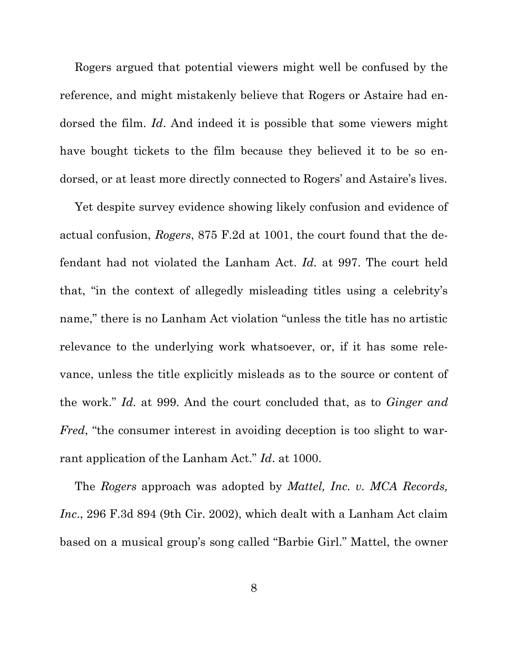Rogers argued that potential viewers might well be confused by the reference, and might mistakenly believe that Rogers or Astaire had endorsed the film. *Id*. And indeed it is possible that some viewers might have bought tickets to the film because they believed it to be so endorsed, or at least more directly connected to Rogers' and Astaire's lives.

Yet despite survey evidence showing likely confusion and evidence of actual confusion, *Rogers*, 875 F.2d at 1001, the court found that the defendant had not violated the Lanham Act. *Id.* at 997. The court held that, "in the context of allegedly misleading titles using a celebrity's name," there is no Lanham Act violation "unless the title has no artistic relevance to the underlying work whatsoever, or, if it has some relevance, unless the title explicitly misleads as to the source or content of the work." *Id.* at 999. And the court concluded that, as to *Ginger and Fred*, "the consumer interest in avoiding deception is too slight to warrant application of the Lanham Act." *Id*. at 1000.

The *Rogers* approach was adopted by *Mattel, Inc. v. MCA Records, Inc*., 296 F.3d 894 (9th Cir. 2002), which dealt with a Lanham Act claim based on a musical group's song called "Barbie Girl." Mattel, the owner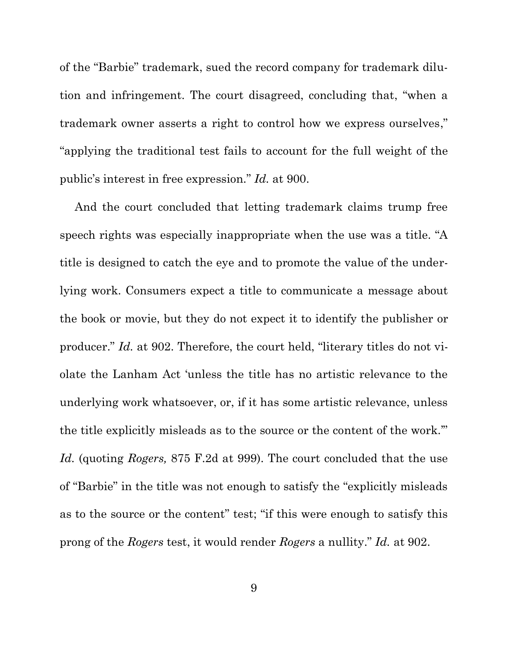of the "Barbie" trademark, sued the record company for trademark dilution and infringement. The court disagreed, concluding that, "when a trademark owner asserts a right to control how we express ourselves," "applying the traditional test fails to account for the full weight of the public's interest in free expression." *Id.* at 900.

And the court concluded that letting trademark claims trump free speech rights was especially inappropriate when the use was a title. "A title is designed to catch the eye and to promote the value of the underlying work. Consumers expect a title to communicate a message about the book or movie, but they do not expect it to identify the publisher or producer." *Id.* at 902. Therefore, the court held, "literary titles do not violate the Lanham Act 'unless the title has no artistic relevance to the underlying work whatsoever, or, if it has some artistic relevance, unless the title explicitly misleads as to the source or the content of the work.'" *Id.* (quoting *Rogers,* 875 F.2d at 999). The court concluded that the use of "Barbie" in the title was not enough to satisfy the "explicitly misleads as to the source or the content" test; "if this were enough to satisfy this prong of the *Rogers* test, it would render *Rogers* a nullity." *Id.* at 902.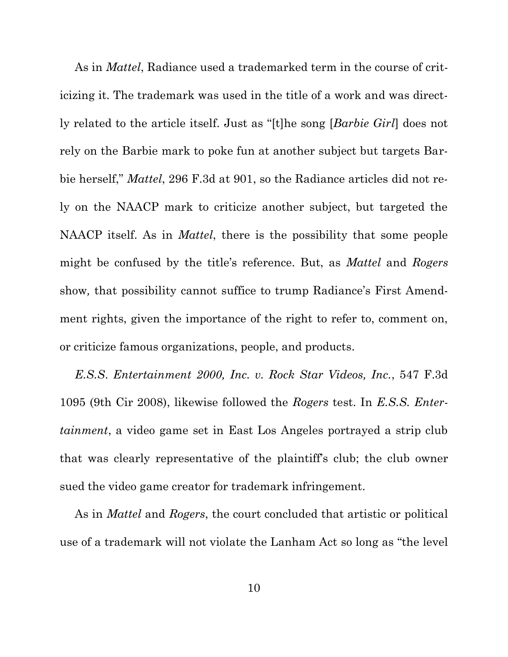As in *Mattel*, Radiance used a trademarked term in the course of criticizing it. The trademark was used in the title of a work and was directly related to the article itself. Just as "[t]he song [*Barbie Girl*] does not rely on the Barbie mark to poke fun at another subject but targets Barbie herself," *Mattel*, 296 F.3d at 901, so the Radiance articles did not rely on the NAACP mark to criticize another subject, but targeted the NAACP itself. As in *Mattel*, there is the possibility that some people might be confused by the title's reference. But, as *Mattel* and *Rogers* show*,* that possibility cannot suffice to trump Radiance's First Amendment rights, given the importance of the right to refer to, comment on, or criticize famous organizations, people, and products.

*E.S.S*. *Entertainment 2000, Inc. v. Rock Star Videos, Inc.*, 547 F.3d 1095 (9th Cir 2008), likewise followed the *Rogers* test. In *E.S.S. Entertainment*, a video game set in East Los Angeles portrayed a strip club that was clearly representative of the plaintiff's club; the club owner sued the video game creator for trademark infringement.

As in *Mattel* and *Rogers*, the court concluded that artistic or political use of a trademark will not violate the Lanham Act so long as "the level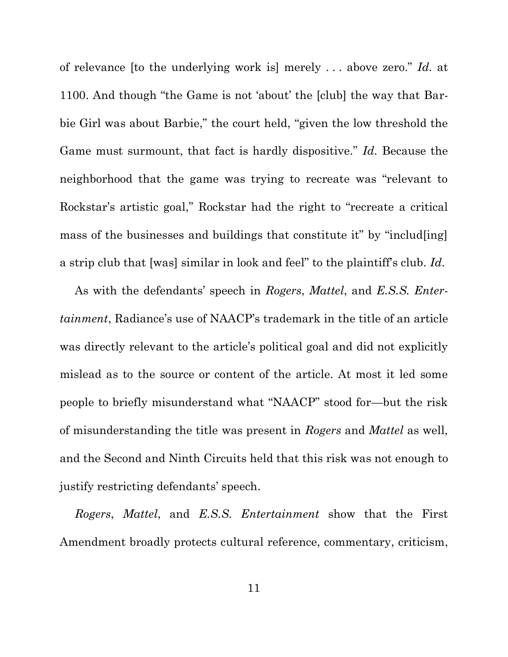of relevance [to the underlying work is] merely . . . above zero." *Id.* at 1100. And though "the Game is not 'about' the [club] the way that Barbie Girl was about Barbie," the court held, "given the low threshold the Game must surmount, that fact is hardly dispositive." *Id.* Because the neighborhood that the game was trying to recreate was "relevant to Rockstar's artistic goal," Rockstar had the right to "recreate a critical mass of the businesses and buildings that constitute it" by "includ[ing] a strip club that [was] similar in look and feel" to the plaintiff's club. *Id.*

As with the defendants' speech in *Rogers*, *Mattel*, and *E.S.S. Entertainment*, Radiance's use of NAACP's trademark in the title of an article was directly relevant to the article's political goal and did not explicitly mislead as to the source or content of the article. At most it led some people to briefly misunderstand what "NAACP" stood for—but the risk of misunderstanding the title was present in *Rogers* and *Mattel* as well, and the Second and Ninth Circuits held that this risk was not enough to justify restricting defendants' speech.

*Rogers*, *Mattel*, and *E.S.S. Entertainment* show that the First Amendment broadly protects cultural reference, commentary, criticism,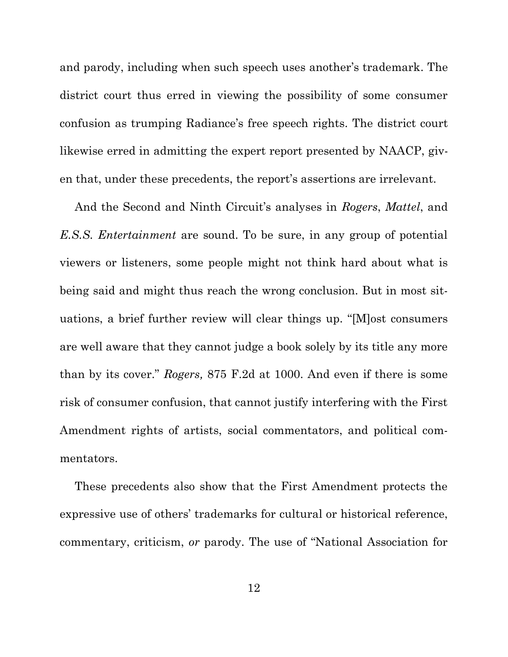and parody, including when such speech uses another's trademark. The district court thus erred in viewing the possibility of some consumer confusion as trumping Radiance's free speech rights. The district court likewise erred in admitting the expert report presented by NAACP, given that, under these precedents, the report's assertions are irrelevant.

And the Second and Ninth Circuit's analyses in *Rogers*, *Mattel*, and *E.S.S. Entertainment* are sound. To be sure, in any group of potential viewers or listeners, some people might not think hard about what is being said and might thus reach the wrong conclusion. But in most situations, a brief further review will clear things up. "[M]ost consumers are well aware that they cannot judge a book solely by its title any more than by its cover." *Rogers,* 875 F.2d at 1000. And even if there is some risk of consumer confusion, that cannot justify interfering with the First Amendment rights of artists, social commentators, and political commentators.

These precedents also show that the First Amendment protects the expressive use of others' trademarks for cultural or historical reference, commentary, criticism, *or* parody. The use of "National Association for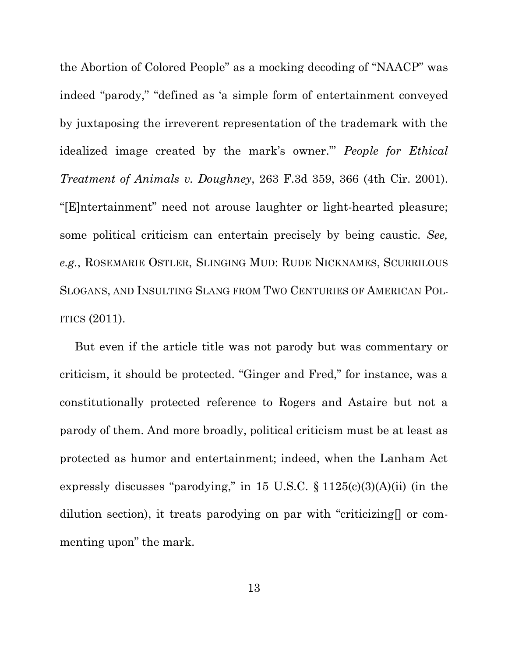the Abortion of Colored People" as a mocking decoding of "NAACP" was indeed "parody," "defined as 'a simple form of entertainment conveyed by juxtaposing the irreverent representation of the trademark with the idealized image created by the mark's owner.'" *People for Ethical Treatment of Animals v. Doughney*, 263 F.3d 359, 366 (4th Cir. 2001). "[E]ntertainment" need not arouse laughter or light-hearted pleasure; some political criticism can entertain precisely by being caustic. *See, e.g.*, ROSEMARIE OSTLER, SLINGING MUD: RUDE NICKNAMES, SCURRILOUS SLOGANS, AND INSULTING SLANG FROM TWO CENTURIES OF AMERICAN POL-ITICS (2011).

But even if the article title was not parody but was commentary or criticism, it should be protected. "Ginger and Fred," for instance, was a constitutionally protected reference to Rogers and Astaire but not a parody of them. And more broadly, political criticism must be at least as protected as humor and entertainment; indeed, when the Lanham Act expressly discusses "parodying," in 15 U.S.C.  $\S 1125(c)(3)(A)(ii)$  (in the dilution section), it treats parodying on par with "criticizing[] or commenting upon" the mark.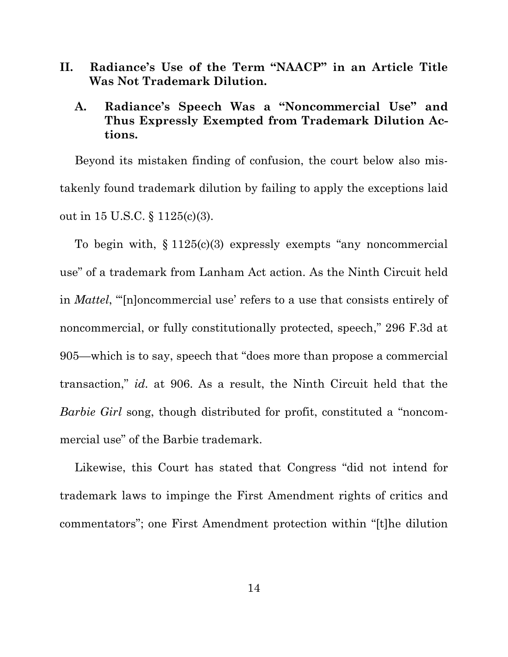<span id="page-18-0"></span>**II. Radiance's Use of the Term "NAACP" in an Article Title Was Not Trademark Dilution.**

## <span id="page-18-1"></span>**A. Radiance's Speech Was a "Noncommercial Use" and Thus Expressly Exempted from Trademark Dilution Actions.**

Beyond its mistaken finding of confusion, the court below also mistakenly found trademark dilution by failing to apply the exceptions laid out in 15 U.S.C. § 1125(c)(3).

To begin with, § 1125(c)(3) expressly exempts "any noncommercial use" of a trademark from Lanham Act action. As the Ninth Circuit held in *Mattel*, "'[n]oncommercial use' refers to a use that consists entirely of noncommercial, or fully constitutionally protected, speech," 296 F.3d at 905—which is to say, speech that "does more than propose a commercial transaction," *id.* at 906. As a result, the Ninth Circuit held that the *Barbie Girl* song, though distributed for profit, constituted a "noncommercial use" of the Barbie trademark.

Likewise, this Court has stated that Congress "did not intend for trademark laws to impinge the First Amendment rights of critics and commentators"; one First Amendment protection within "[t]he dilution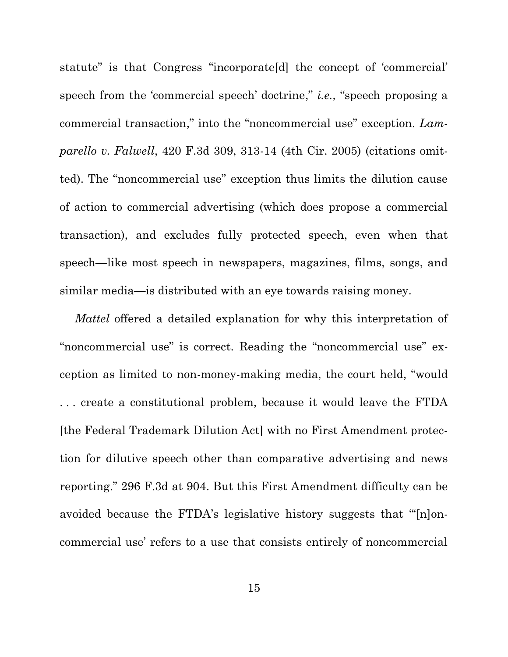statute" is that Congress "incorporate[d] the concept of 'commercial' speech from the 'commercial speech' doctrine," *i.e.*, "speech proposing a commercial transaction," into the "noncommercial use" exception. *Lamparello v. Falwell*, 420 F.3d 309, 313-14 (4th Cir. 2005) (citations omitted). The "noncommercial use" exception thus limits the dilution cause of action to commercial advertising (which does propose a commercial transaction), and excludes fully protected speech, even when that speech—like most speech in newspapers, magazines, films, songs, and similar media—is distributed with an eye towards raising money.

*Mattel* offered a detailed explanation for why this interpretation of "noncommercial use" is correct. Reading the "noncommercial use" exception as limited to non-money-making media, the court held, "would . . . create a constitutional problem, because it would leave the FTDA [the Federal Trademark Dilution Act] with no First Amendment protection for dilutive speech other than comparative advertising and news reporting." 296 F.3d at 904. But this First Amendment difficulty can be avoided because the FTDA's legislative history suggests that "'[n]oncommercial use' refers to a use that consists entirely of noncommercial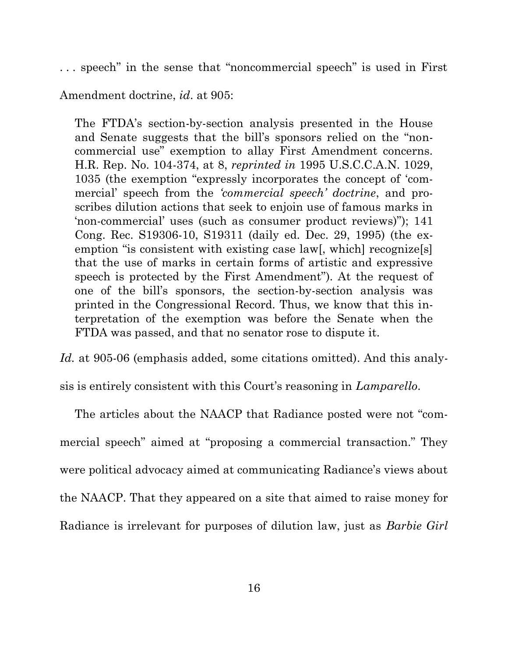. . . speech" in the sense that "noncommercial speech" is used in First

Amendment doctrine, *id*. at 905:

The FTDA's section-by-section analysis presented in the House and Senate suggests that the bill's sponsors relied on the "noncommercial use" exemption to allay First Amendment concerns. H.R. Rep. No. 104-374, at 8, *reprinted in* 1995 U.S.C.C.A.N. 1029, 1035 (the exemption "expressly incorporates the concept of 'commercial' speech from the *'commercial speech' doctrine*, and proscribes dilution actions that seek to enjoin use of famous marks in 'non-commercial' uses (such as consumer product reviews)"); 141 Cong. Rec. S19306-10, S19311 (daily ed. Dec. 29, 1995) (the exemption "is consistent with existing case law[, which] recognize[s] that the use of marks in certain forms of artistic and expressive speech is protected by the First Amendment"). At the request of one of the bill's sponsors, the section-by-section analysis was printed in the Congressional Record. Thus, we know that this interpretation of the exemption was before the Senate when the FTDA was passed, and that no senator rose to dispute it.

Id. at 905-06 (emphasis added, some citations omitted). And this analy-

sis is entirely consistent with this Court's reasoning in *Lamparello*.

The articles about the NAACP that Radiance posted were not "commercial speech" aimed at "proposing a commercial transaction." They were political advocacy aimed at communicating Radiance's views about the NAACP. That they appeared on a site that aimed to raise money for Radiance is irrelevant for purposes of dilution law, just as *Barbie Girl*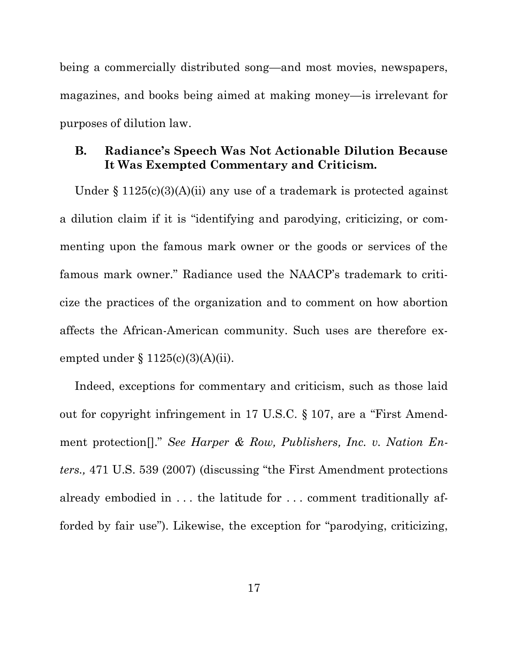being a commercially distributed song—and most movies, newspapers, magazines, and books being aimed at making money—is irrelevant for purposes of dilution law.

### <span id="page-21-0"></span>**B. Radiance's Speech Was Not Actionable Dilution Because It Was Exempted Commentary and Criticism.**

Under  $\S 1125(c)(3)(A)(ii)$  any use of a trademark is protected against a dilution claim if it is "identifying and parodying, criticizing, or commenting upon the famous mark owner or the goods or services of the famous mark owner." Radiance used the NAACP's trademark to criticize the practices of the organization and to comment on how abortion affects the African-American community. Such uses are therefore exempted under  $§ 1125(c)(3)(A)(ii)$ .

Indeed, exceptions for commentary and criticism, such as those laid out for copyright infringement in 17 U.S.C. § 107, are a "First Amendment protection[]." *See Harper & Row, Publishers, Inc. v. Nation Enters.,* 471 U.S. 539 (2007) (discussing "the First Amendment protections already embodied in . . . the latitude for . . . comment traditionally afforded by fair use"). Likewise, the exception for "parodying, criticizing,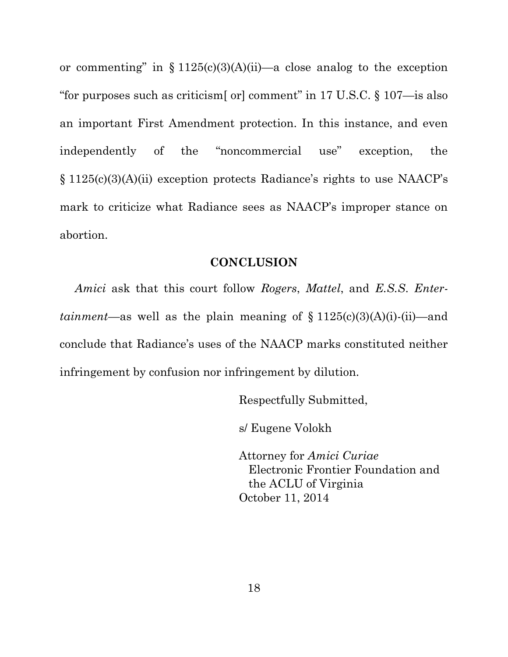or commenting" in  $\S 1125(c)(3)(A)(ii)$ —a close analog to the exception "for purposes such as criticism [or] comment" in 17 U.S.C.  $\S 107$ —is also an important First Amendment protection. In this instance, and even independently of the "noncommercial use" exception, the § 1125(c)(3)(A)(ii) exception protects Radiance's rights to use NAACP's mark to criticize what Radiance sees as NAACP's improper stance on abortion.

#### **CONCLUSION**

<span id="page-22-0"></span>*Amici* ask that this court follow *Rogers*, *Mattel*, and *E.S.S*. *Entertainment*—as well as the plain meaning of  $\S 1125(c)(3)(A)(i)$ -(ii)—and conclude that Radiance's uses of the NAACP marks constituted neither infringement by confusion nor infringement by dilution.

Respectfully Submitted,

s/ Eugene Volokh

Attorney for *Amici Curiae* Electronic Frontier Foundation and the ACLU of Virginia October 11, 2014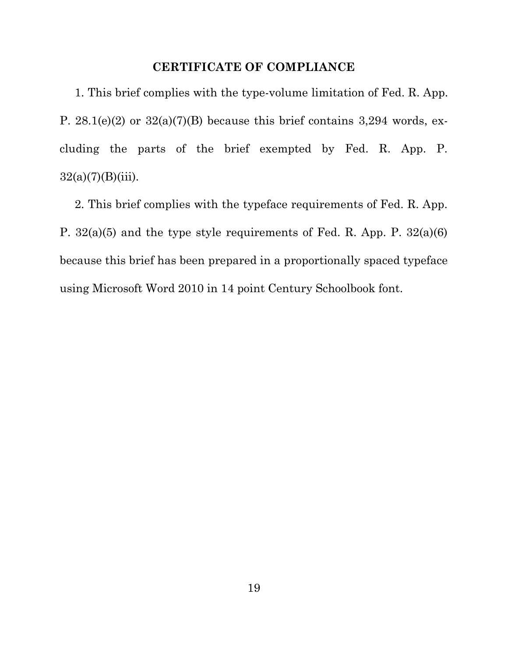### **CERTIFICATE OF COMPLIANCE**

<span id="page-23-0"></span>1. This brief complies with the type-volume limitation of Fed. R. App. P.  $28.1(e)(2)$  or  $32(a)(7)(B)$  because this brief contains 3,294 words, excluding the parts of the brief exempted by Fed. R. App. P.  $32(a)(7)(B)(iii)$ .

2. This brief complies with the typeface requirements of Fed. R. App. P. 32(a)(5) and the type style requirements of Fed. R. App. P. 32(a)(6) because this brief has been prepared in a proportionally spaced typeface using Microsoft Word 2010 in 14 point Century Schoolbook font.